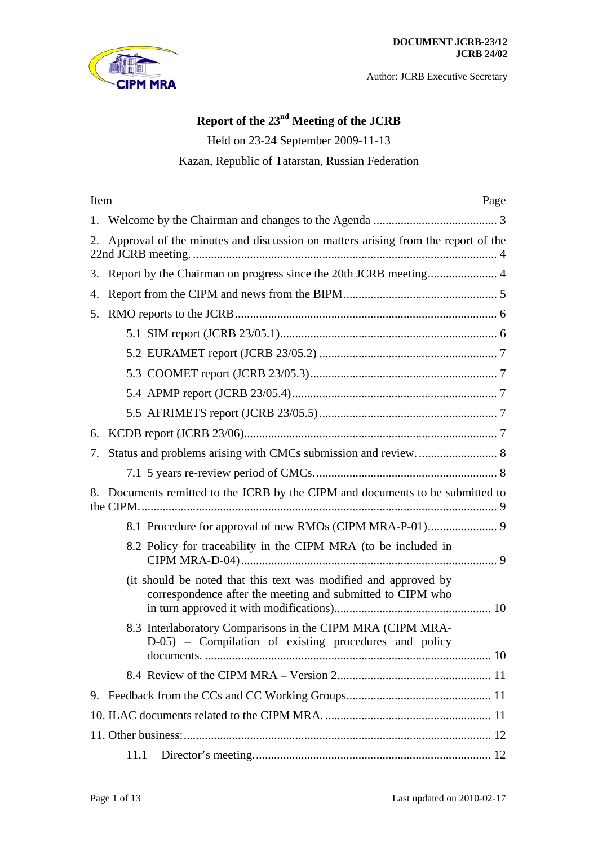

# **Report of the 23nd Meeting of the JCRB**

Held on 23-24 September 2009-11-13

Kazan, Republic of Tatarstan, Russian Federation

| Item | Page                                                                                                                          |  |  |
|------|-------------------------------------------------------------------------------------------------------------------------------|--|--|
|      |                                                                                                                               |  |  |
| 2.   | Approval of the minutes and discussion on matters arising from the report of the                                              |  |  |
|      |                                                                                                                               |  |  |
| 4.   |                                                                                                                               |  |  |
| 5.   |                                                                                                                               |  |  |
|      |                                                                                                                               |  |  |
|      |                                                                                                                               |  |  |
|      |                                                                                                                               |  |  |
|      |                                                                                                                               |  |  |
|      |                                                                                                                               |  |  |
| 6.   |                                                                                                                               |  |  |
| 7.   |                                                                                                                               |  |  |
|      |                                                                                                                               |  |  |
| 8.   | Documents remitted to the JCRB by the CIPM and documents to be submitted to                                                   |  |  |
|      |                                                                                                                               |  |  |
|      | 8.2 Policy for traceability in the CIPM MRA (to be included in                                                                |  |  |
|      | (it should be noted that this text was modified and approved by<br>correspondence after the meeting and submitted to CIPM who |  |  |
|      | 8.3 Interlaboratory Comparisons in the CIPM MRA (CIPM MRA-<br>D-05) – Compilation of existing procedures and policy           |  |  |
|      |                                                                                                                               |  |  |
|      |                                                                                                                               |  |  |
|      |                                                                                                                               |  |  |
|      |                                                                                                                               |  |  |
|      | 11.1                                                                                                                          |  |  |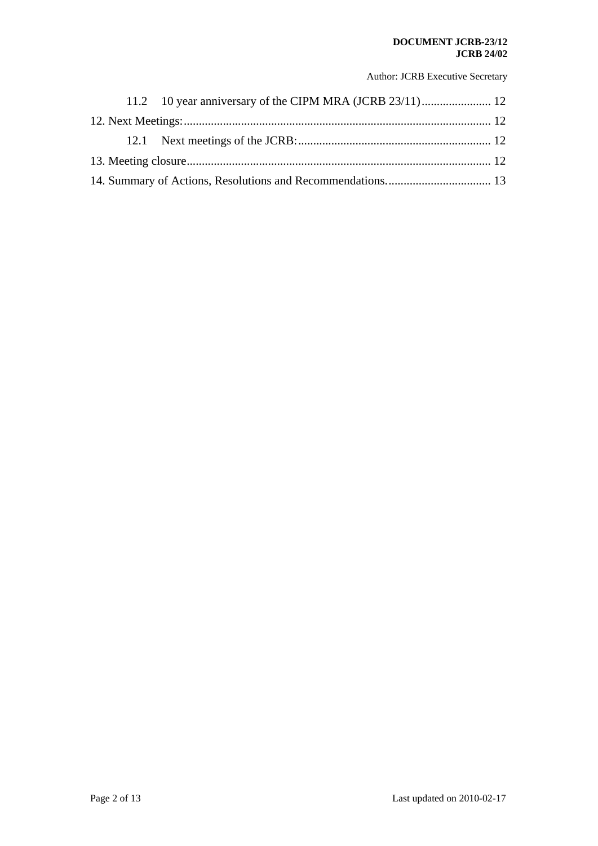#### **DOCUMENT JCRB-23/12 JCRB 24/02**

Author: JCRB Executive Secretary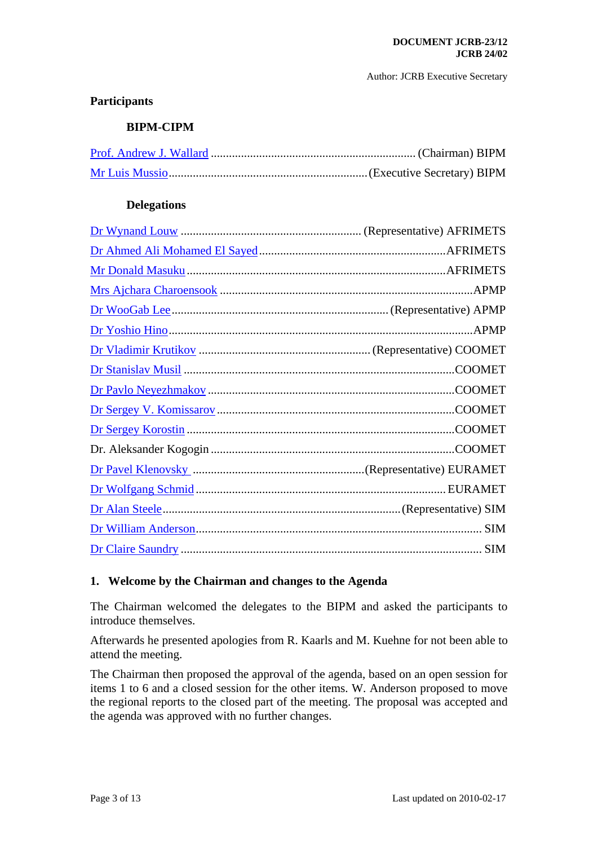# **Participants**

## **BIPM-CIPM**

## **Delegations**

## <span id="page-2-0"></span>**1. Welcome by the Chairman and changes to the Agenda**

The Chairman welcomed the delegates to the BIPM and asked the participants to introduce themselves.

Afterwards he presented apologies from R. Kaarls and M. Kuehne for not been able to attend the meeting.

The Chairman then proposed the approval of the agenda, based on an open session for items 1 to 6 and a closed session for the other items. W. Anderson proposed to move the regional reports to the closed part of the meeting. The proposal was accepted and the agenda was approved with no further changes.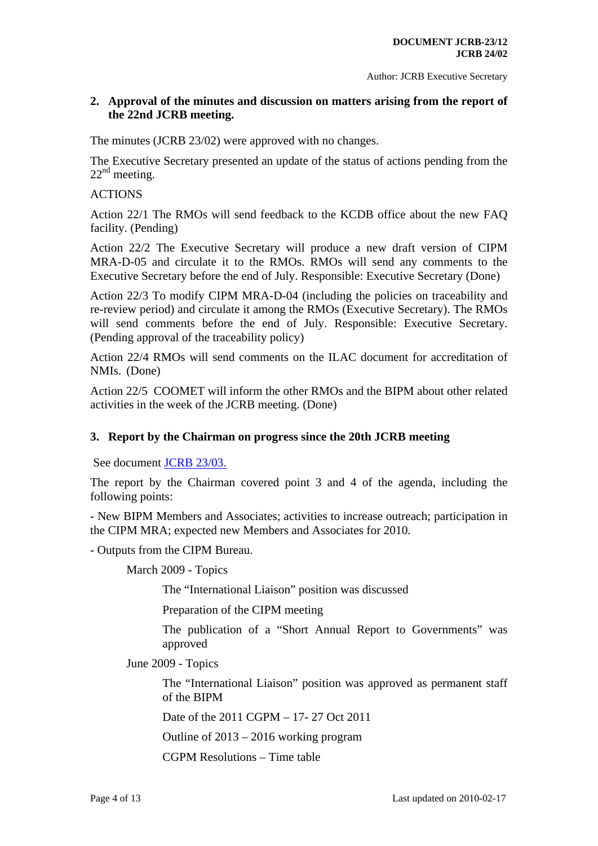## <span id="page-3-0"></span>**2. Approval of the minutes and discussion on matters arising from the report of the 22nd JCRB meeting.**

The minutes (JCRB 23/02) were approved with no changes.

The Executive Secretary presented an update of the status of actions pending from the  $22<sup>nd</sup>$  meeting.

# **ACTIONS**

Action 22/1 The RMOs will send feedback to the KCDB office about the new FAQ facility. (Pending)

Action 22/2 The Executive Secretary will produce a new draft version of CIPM MRA-D-05 and circulate it to the RMOs. RMOs will send any comments to the Executive Secretary before the end of July. Responsible: Executive Secretary (Done)

Action 22/3 To modify CIPM MRA-D-04 (including the policies on traceability and re-review period) and circulate it among the RMOs (Executive Secretary). The RMOs will send comments before the end of July. Responsible: Executive Secretary. (Pending approval of the traceability policy)

Action 22/4 RMOs will send comments on the ILAC document for accreditation of NMIs. (Done)

Action 22/5 COOMET will inform the other RMOs and the BIPM about other related activities in the week of the JCRB meeting. (Done)

## <span id="page-3-1"></span>**3. Report by the Chairman on progress since the 20th JCRB meeting**

See document [JCRB 23/03.](https://www.bipm.org/cc/JCRB/Restricted/23/23.03.Chairman_Report.ppt)

The report by the Chairman covered point 3 and 4 of the agenda, including the following points:

- New BIPM Members and Associates; activities to increase outreach; participation in the CIPM MRA; expected new Members and Associates for 2010.

- Outputs from the CIPM Bureau.

March 2009 - Topics

The "International Liaison" position was discussed

Preparation of the CIPM meeting

The publication of a "Short Annual Report to Governments" was approved

June 2009 - Topics

The "International Liaison" position was approved as permanent staff of the BIPM

Date of the 2011 CGPM – 17- 27 Oct 2011

Outline of 2013 – 2016 working program

CGPM Resolutions – Time table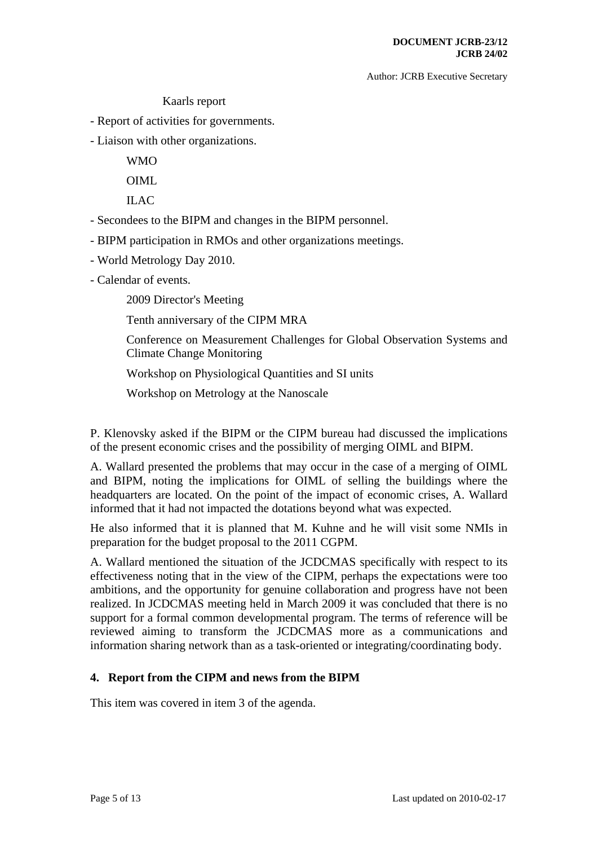## Kaarls report

- Report of activities for governments.

- Liaison with other organizations.

 WMO OIML

 $ILAC$ 

- Secondees to the BIPM and changes in the BIPM personnel.
- BIPM participation in RMOs and other organizations meetings.
- World Metrology Day 2010.
- Calendar of events.
	- 2009 Director's Meeting
	- Tenth anniversary of the CIPM MRA
	- Conference on Measurement Challenges for Global Observation Systems and Climate Change Monitoring
	- Workshop on Physiological Quantities and SI units
	- Workshop on Metrology at the Nanoscale

P. Klenovsky asked if the BIPM or the CIPM bureau had discussed the implications of the present economic crises and the possibility of merging OIML and BIPM.

A. Wallard presented the problems that may occur in the case of a merging of OIML and BIPM, noting the implications for OIML of selling the buildings where the headquarters are located. On the point of the impact of economic crises, A. Wallard informed that it had not impacted the dotations beyond what was expected.

He also informed that it is planned that M. Kuhne and he will visit some NMIs in preparation for the budget proposal to the 2011 CGPM.

A. Wallard mentioned the situation of the JCDCMAS specifically with respect to its effectiveness noting that in the view of the CIPM, perhaps the expectations were too ambitions, and the opportunity for genuine collaboration and progress have not been realized. In JCDCMAS meeting held in March 2009 it was concluded that there is no support for a formal common developmental program. The terms of reference will be reviewed aiming to transform the JCDCMAS more as a communications and information sharing network than as a task-oriented or integrating/coordinating body.

## <span id="page-4-0"></span>**4. Report from the CIPM and news from the BIPM**

This item was covered in item 3 of the agenda.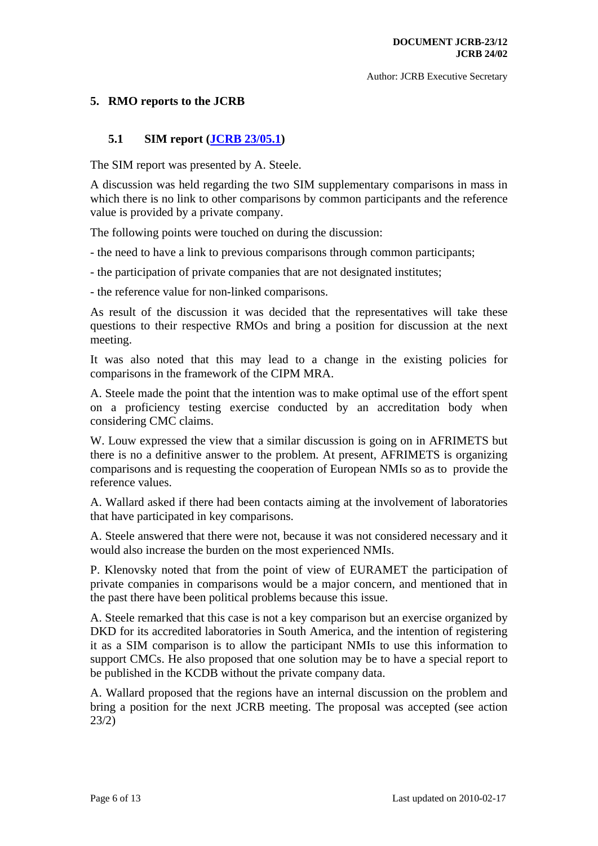## <span id="page-5-0"></span>**5. RMO reports to the JCRB**

## **5.1 SIM report [\(JCRB 23/05.1\)](https://www.bipm.org/cc/JCRB/Restricted/23/23.05.1-SIM_Report_to_the_23rd_JCRB_Meeting(2).doc)**

<span id="page-5-1"></span>The SIM report was presented by A. Steele.

A discussion was held regarding the two SIM supplementary comparisons in mass in which there is no link to other comparisons by common participants and the reference value is provided by a private company.

The following points were touched on during the discussion:

- the need to have a link to previous comparisons through common participants;

- the participation of private companies that are not designated institutes;

- the reference value for non-linked comparisons.

As result of the discussion it was decided that the representatives will take these questions to their respective RMOs and bring a position for discussion at the next meeting.

It was also noted that this may lead to a change in the existing policies for comparisons in the framework of the CIPM MRA.

A. Steele made the point that the intention was to make optimal use of the effort spent on a proficiency testing exercise conducted by an accreditation body when considering CMC claims.

W. Louw expressed the view that a similar discussion is going on in AFRIMETS but there is no a definitive answer to the problem. At present, AFRIMETS is organizing comparisons and is requesting the cooperation of European NMIs so as to provide the reference values.

A. Wallard asked if there had been contacts aiming at the involvement of laboratories that have participated in key comparisons.

A. Steele answered that there were not, because it was not considered necessary and it would also increase the burden on the most experienced NMIs.

P. Klenovsky noted that from the point of view of EURAMET the participation of private companies in comparisons would be a major concern, and mentioned that in the past there have been political problems because this issue.

A. Steele remarked that this case is not a key comparison but an exercise organized by DKD for its accredited laboratories in South America, and the intention of registering it as a SIM comparison is to allow the participant NMIs to use this information to support CMCs. He also proposed that one solution may be to have a special report to be published in the KCDB without the private company data.

A. Wallard proposed that the regions have an internal discussion on the problem and bring a position for the next JCRB meeting. The proposal was accepted (see action 23/2)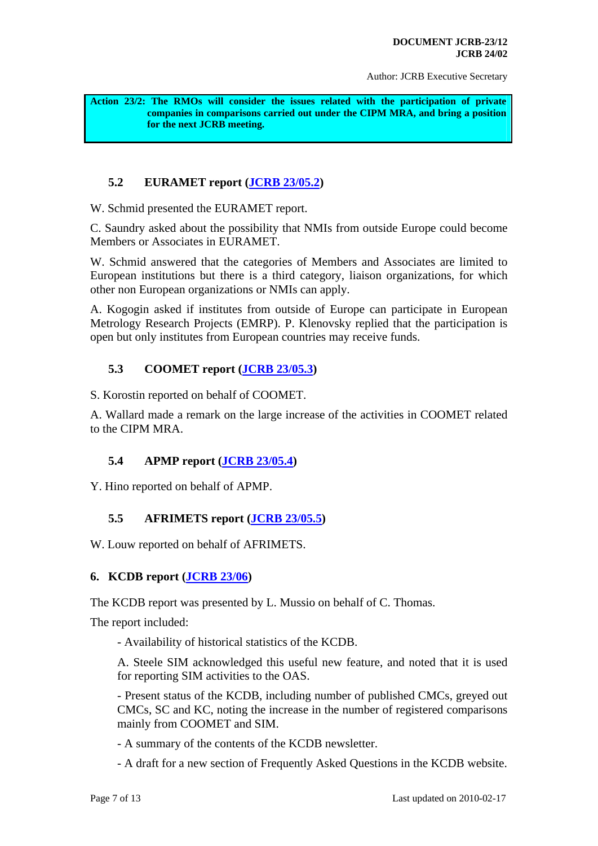<span id="page-6-5"></span>**Action 23/2: The RMOs will consider the issues related with the participation of private companies in comparisons carried out under the CIPM MRA, and bring a position for the next JCRB meeting.** 

# **5.2 EURAMET report ([JCRB 23/05.2](https://www.bipm.org/cc/JCRB/Restricted/23/23.05.2-EURAMET-Report_23rd_JCRB.pdf))**

<span id="page-6-0"></span>W. Schmid presented the EURAMET report.

C. Saundry asked about the possibility that NMIs from outside Europe could become Members or Associates in EURAMET.

W. Schmid answered that the categories of Members and Associates are limited to European institutions but there is a third category, liaison organizations, for which other non European organizations or NMIs can apply.

A. Kogogin asked if institutes from outside of Europe can participate in European Metrology Research Projects (EMRP). P. Klenovsky replied that the participation is open but only institutes from European countries may receive funds.

# **5.3 COOMET report [\(JCRB 23/05.3\)](https://www.bipm.org/cc/JCRB/Restricted/23/23.05.3-COOMET_Report_JCRB-23.pdf)**

<span id="page-6-1"></span>S. Korostin reported on behalf of COOMET.

A. Wallard made a remark on the large increase of the activities in COOMET related to the CIPM MRA.

# **5.4 APMP report [\(JCRB 23/05.4\)](https://www.bipm.org/cc/JCRB/Restricted/23/23.05.4-APMP_Activity_Report_to_the_23rd_JCRB_2009.doc)**

<span id="page-6-2"></span>Y. Hino reported on behalf of APMP.

# **5.5 AFRIMETS report ([JCRB 23/05.5\)](https://www.bipm.org/cc/JCRB/Restricted/23/23.05.5-AFRIMETS_JCRB_Report_September09.doc)**

<span id="page-6-3"></span>W. Louw reported on behalf of AFRIMETS.

# <span id="page-6-4"></span>**6. KCDB report [\(JCRB 23/06\)](https://www.bipm.org/cc/JCRB/Restricted/23/23.06-KCDB_Report_to_23rd_JCRB.pdf)**

The KCDB report was presented by L. Mussio on behalf of C. Thomas.

The report included:

- Availability of historical statistics of the KCDB.

A. Steele SIM acknowledged this useful new feature, and noted that it is used for reporting SIM activities to the OAS.

- Present status of the KCDB, including number of published CMCs, greyed out CMCs, SC and KC, noting the increase in the number of registered comparisons mainly from COOMET and SIM.

- A summary of the contents of the KCDB newsletter.

- A draft for a new section of Frequently Asked Questions in the KCDB website.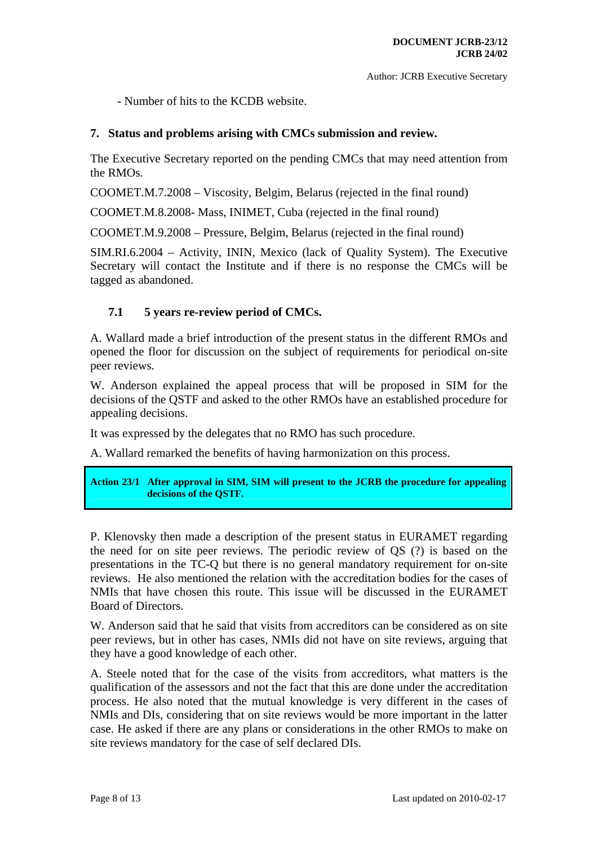- Number of hits to the KCDB website.

#### <span id="page-7-0"></span>**7. Status and problems arising with CMCs submission and review.**

The Executive Secretary reported on the pending CMCs that may need attention from the RMOs.

COOMET.M.7.2008 – Viscosity, Belgim, Belarus (rejected in the final round)

COOMET.M.8.2008- Mass, INIMET, Cuba (rejected in the final round)

COOMET.M.9.2008 – Pressure, Belgim, Belarus (rejected in the final round)

SIM.RI.6.2004 – Activity, ININ, Mexico (lack of Quality System). The Executive Secretary will contact the Institute and if there is no response the CMCs will be tagged as abandoned.

#### **7.1 5 years re-review period of CMCs.**

<span id="page-7-1"></span>A. Wallard made a brief introduction of the present status in the different RMOs and opened the floor for discussion on the subject of requirements for periodical on-site peer reviews.

W. Anderson explained the appeal process that will be proposed in SIM for the decisions of the QSTF and asked to the other RMOs have an established procedure for appealing decisions.

It was expressed by the delegates that no RMO has such procedure.

A. Wallard remarked the benefits of having harmonization on this process.

#### <span id="page-7-2"></span>**Action 23/1 After approval in SIM, SIM will present to the JCRB the procedure for appealing decisions of the QSTF.**

P. Klenovsky then made a description of the present status in EURAMET regarding the need for on site peer reviews. The periodic review of QS (?) is based on the presentations in the TC-Q but there is no general mandatory requirement for on-site reviews. He also mentioned the relation with the accreditation bodies for the cases of NMIs that have chosen this route. This issue will be discussed in the EURAMET Board of Directors.

W. Anderson said that he said that visits from accreditors can be considered as on site peer reviews, but in other has cases, NMIs did not have on site reviews, arguing that they have a good knowledge of each other.

A. Steele noted that for the case of the visits from accreditors, what matters is the qualification of the assessors and not the fact that this are done under the accreditation process. He also noted that the mutual knowledge is very different in the cases of NMIs and DIs, considering that on site reviews would be more important in the latter case. He asked if there are any plans or considerations in the other RMOs to make on site reviews mandatory for the case of self declared DIs.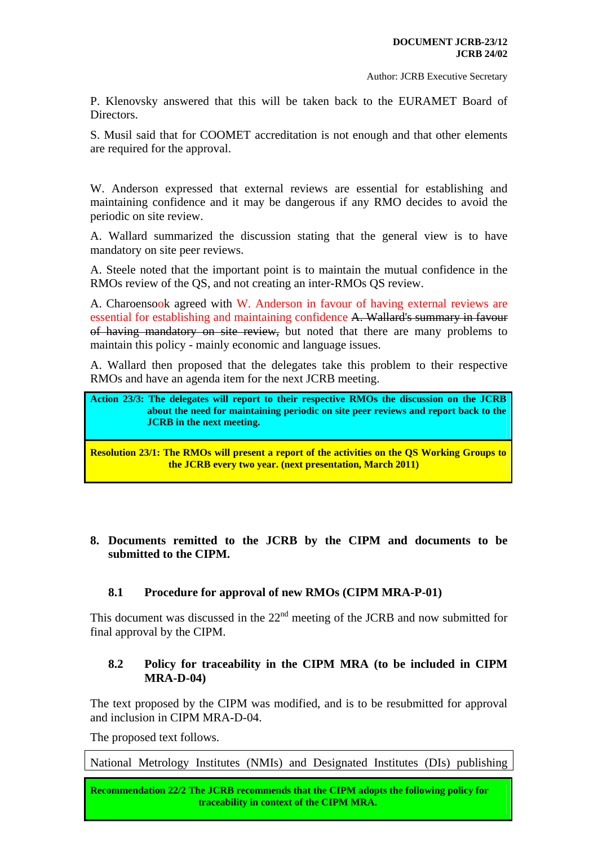P. Klenovsky answered that this will be taken back to the EURAMET Board of Directors.

S. Musil said that for COOMET accreditation is not enough and that other elements are required for the approval.

W. Anderson expressed that external reviews are essential for establishing and maintaining confidence and it may be dangerous if any RMO decides to avoid the periodic on site review.

A. Wallard summarized the discussion stating that the general view is to have mandatory on site peer reviews.

A. Steele noted that the important point is to maintain the mutual confidence in the RMOs review of the QS, and not creating an inter-RMOs QS review.

A. Charoensook agreed with W. Anderson in favour of having external reviews are essential for establishing and maintaining confidence A. Wallard's summary in favour of having mandatory on site review, but noted that there are many problems to maintain this policy - mainly economic and language issues.

A. Wallard then proposed that the delegates take this problem to their respective RMOs and have an agenda item for the next JCRB meeting.

```
Action 23/3: The delegates will report to their respective RMOs the discussion on the JCRB 
about the need for maintaining periodic on site peer reviews and report back to the 
JCRB in the next meeting.
```
<span id="page-8-4"></span>**Resolution 23/1: The RMOs will present a report of the activities on the QS Working Groups to the JCRB every two year. (next presentation, March 2011)** 

## <span id="page-8-0"></span>**8. Documents remitted to the JCRB by the CIPM and documents to be submitted to the CIPM.**

## **8.1 Procedure for approval of new RMOs (CIPM MRA-P-01)**

<span id="page-8-1"></span>This document was discussed in the  $22<sup>nd</sup>$  meeting of the JCRB and now submitted for final approval by the CIPM.

## **8.2 Policy for traceability in the CIPM MRA (to be included in CIPM MRA-D-04)**

<span id="page-8-2"></span>The text proposed by the CIPM was modified, and is to be resubmitted for approval and inclusion in CIPM MRA-D-04.

The proposed text follows.

National Metrology Institutes (NMIs) and Designated Institutes (DIs) publishing

<span id="page-8-5"></span>**EXECUTATION CONSTRUCTS** IN THE STATE OF 13 LAST UPDATE AND THE UPDATE ON 13 LAST UPDATE. **Recommendation 22/2 The JCRB recommends that the CIPM adopts the following policy for**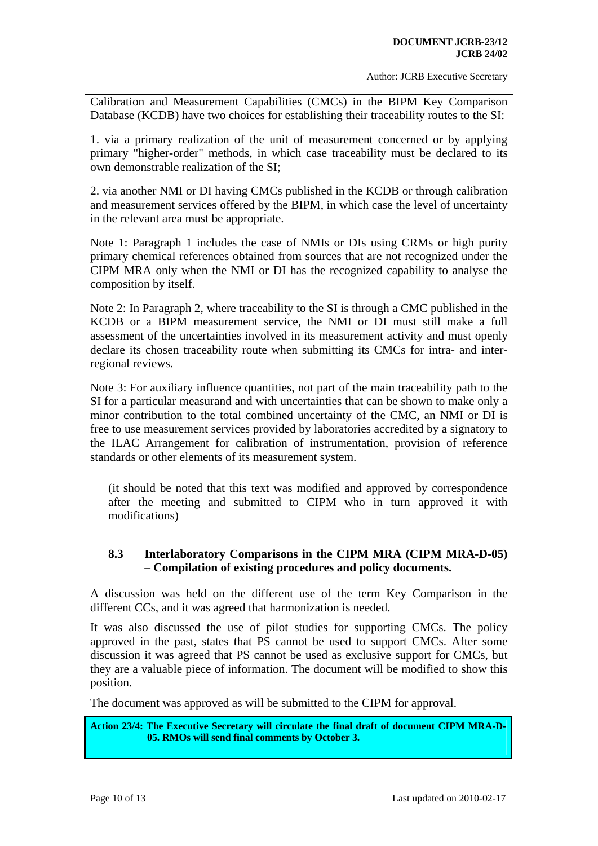Calibration and Measurement Capabilities (CMCs) in the BIPM Key Comparison Database (KCDB) have two choices for establishing their traceability routes to the SI:

1. via a primary realization of the unit of measurement concerned or by applying primary "higher-order" methods, in which case traceability must be declared to its own demonstrable realization of the SI;

2. via another NMI or DI having CMCs published in the KCDB or through calibration and measurement services offered by the BIPM, in which case the level of uncertainty in the relevant area must be appropriate.

Note 1: Paragraph 1 includes the case of NMIs or DIs using CRMs or high purity primary chemical references obtained from sources that are not recognized under the CIPM MRA only when the NMI or DI has the recognized capability to analyse the composition by itself.

Note 2: In Paragraph 2, where traceability to the SI is through a CMC published in the KCDB or a BIPM measurement service, the NMI or DI must still make a full assessment of the uncertainties involved in its measurement activity and must openly declare its chosen traceability route when submitting its CMCs for intra- and interregional reviews.

Note 3: For auxiliary influence quantities, not part of the main traceability path to the SI for a particular measurand and with uncertainties that can be shown to make only a minor contribution to the total combined uncertainty of the CMC, an NMI or DI is free to use measurement services provided by laboratories accredited by a signatory to the ILAC Arrangement for calibration of instrumentation, provision of reference standards or other elements of its measurement system.

<span id="page-9-0"></span>(it should be noted that this text was modified and approved by correspondence after the meeting and submitted to CIPM who in turn approved it with modifications)

# **8.3 Interlaboratory Comparisons in the CIPM MRA (CIPM MRA-D-05) – Compilation of existing procedures and policy documents.**

<span id="page-9-1"></span>A discussion was held on the different use of the term Key Comparison in the different CCs, and it was agreed that harmonization is needed.

It was also discussed the use of pilot studies for supporting CMCs. The policy approved in the past, states that PS cannot be used to support CMCs. After some discussion it was agreed that PS cannot be used as exclusive support for CMCs, but they are a valuable piece of information. The document will be modified to show this position.

The document was approved as will be submitted to the CIPM for approval.

<span id="page-9-2"></span>**Action 23/4: The Executive Secretary will circulate the final draft of document CIPM MRA-D-05. RMOs will send final comments by October 3.**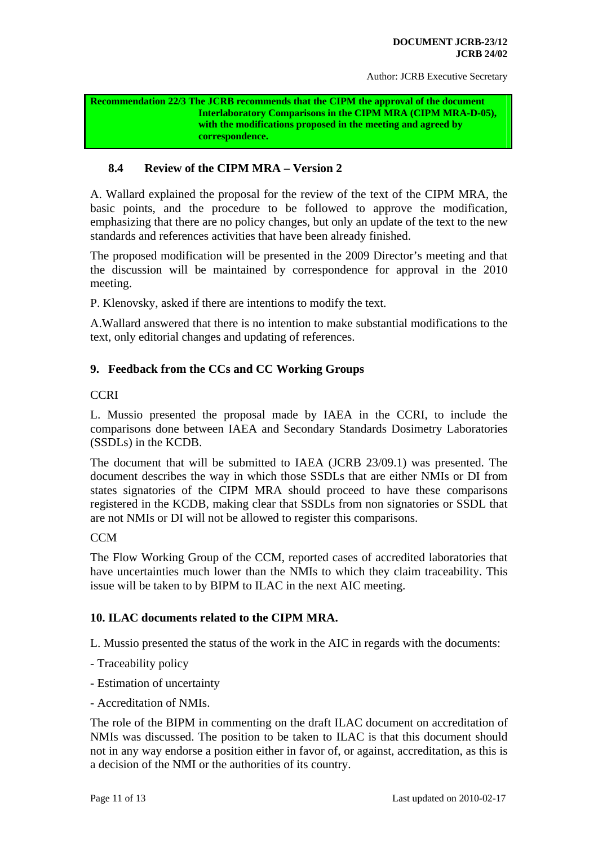#### <span id="page-10-3"></span>**Recommendation 22/3 The JCRB recommends that the CIPM the approval of the document Interlaboratory Comparisons in the CIPM MRA (CIPM MRA-D-05), with the modifications proposed in the meeting and agreed by correspondence.**

# **8.4 Review of the CIPM MRA – Version 2**

<span id="page-10-0"></span>A. Wallard explained the proposal for the review of the text of the CIPM MRA, the basic points, and the procedure to be followed to approve the modification, emphasizing that there are no policy changes, but only an update of the text to the new standards and references activities that have been already finished.

The proposed modification will be presented in the 2009 Director's meeting and that the discussion will be maintained by correspondence for approval in the 2010 meeting.

P. Klenovsky, asked if there are intentions to modify the text.

A.Wallard answered that there is no intention to make substantial modifications to the text, only editorial changes and updating of references.

## <span id="page-10-1"></span>**9. Feedback from the CCs and CC Working Groups**

#### **CCRI**

L. Mussio presented the proposal made by IAEA in the CCRI, to include the comparisons done between IAEA and Secondary Standards Dosimetry Laboratories (SSDLs) in the KCDB.

The document that will be submitted to IAEA (JCRB 23/09.1) was presented. The document describes the way in which those SSDLs that are either NMIs or DI from states signatories of the CIPM MRA should proceed to have these comparisons registered in the KCDB, making clear that SSDLs from non signatories or SSDL that are not NMIs or DI will not be allowed to register this comparisons.

#### **CCM**

The Flow Working Group of the CCM, reported cases of accredited laboratories that have uncertainties much lower than the NMIs to which they claim traceability. This issue will be taken to by BIPM to ILAC in the next AIC meeting.

#### <span id="page-10-2"></span>**10. ILAC documents related to the CIPM MRA.**

L. Mussio presented the status of the work in the AIC in regards with the documents:

- Traceability policy
- Estimation of uncertainty
- Accreditation of NMIs.

The role of the BIPM in commenting on the draft ILAC document on accreditation of NMIs was discussed. The position to be taken to ILAC is that this document should not in any way endorse a position either in favor of, or against, accreditation, as this is a decision of the NMI or the authorities of its country.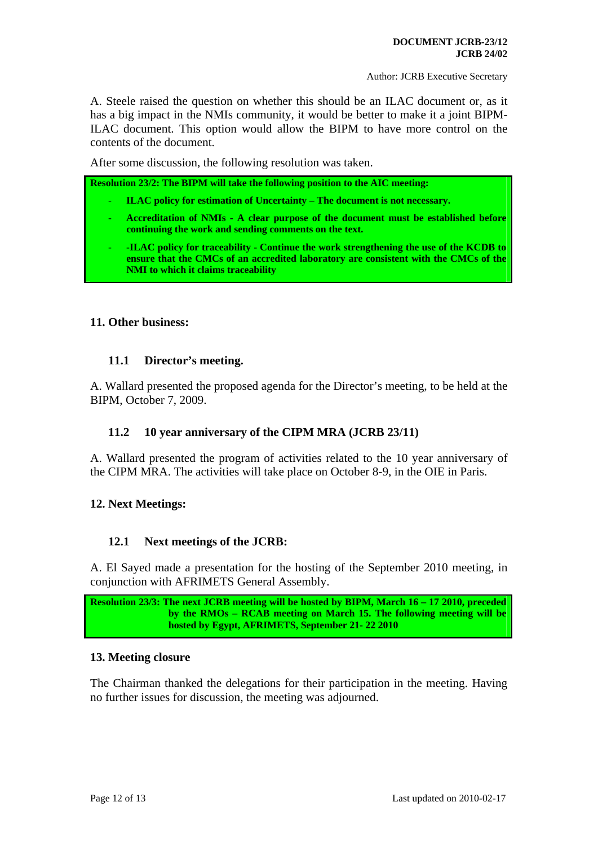A. Steele raised the question on whether this should be an ILAC document or, as it has a big impact in the NMIs community, it would be better to make it a joint BIPM-ILAC document. This option would allow the BIPM to have more control on the contents of the document.

After some discussion, the following resolution was taken.

<span id="page-11-8"></span><span id="page-11-7"></span><span id="page-11-6"></span>**Resolution 23/2: The BIPM will take the following position to the AIC meeting:** 

- **ILAC policy for estimation of Uncertainty The document is not necessary.**
- **Accreditation of NMIs A clear purpose of the document must be established before continuing the work and sending comments on the text.**
- <span id="page-11-9"></span>- **-ILAC policy for traceability - Continue the work strengthening the use of the KCDB to ensure that the CMCs of an accredited laboratory are consistent with the CMCs of the NMI to which it claims traceability**

#### <span id="page-11-0"></span>**11. Other business:**

## **11.1 Director's meeting.**

<span id="page-11-1"></span>A. Wallard presented the proposed agenda for the Director's meeting, to be held at the BIPM, October 7, 2009.

## **11.2 10 year anniversary of the CIPM MRA (JCRB 23/11)**

<span id="page-11-2"></span>A. Wallard presented the program of activities related to the 10 year anniversary of the CIPM MRA. The activities will take place on October 8-9, in the OIE in Paris.

## <span id="page-11-3"></span>**12. Next Meetings:**

## **12.1 Next meetings of the JCRB:**

<span id="page-11-4"></span>A. El Sayed made a presentation for the hosting of the September 2010 meeting, in conjunction with AFRIMETS General Assembly.

```
Resolution 23/3: The next JCRB meeting will be hosted by BIPM, March 16 – 17 2010, preceded 
    by the RMOs – RCAB meeting on March 15. The following meeting will be 
    hosted by Egypt, AFRIMETS, September 21- 22 2010
```
#### <span id="page-11-5"></span>**13. Meeting closure**

The Chairman thanked the delegations for their participation in the meeting. Having no further issues for discussion, the meeting was adjourned.